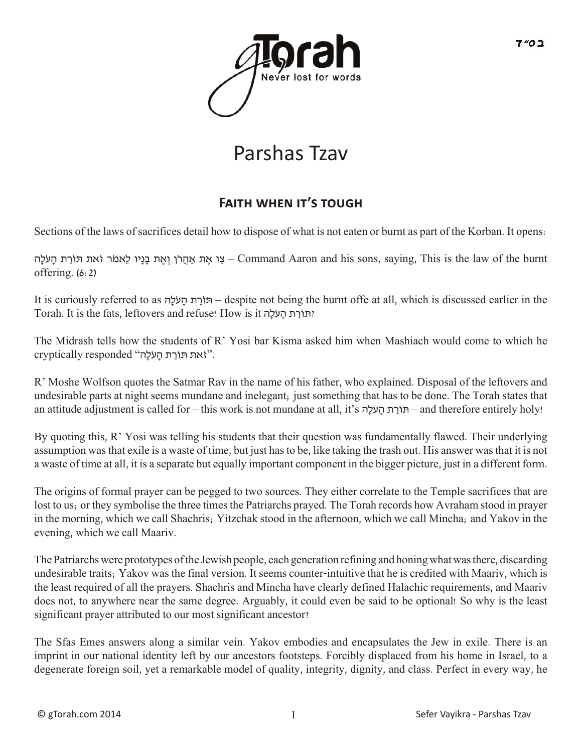

## Parshas Tzav

## **FAITH WHEN IT'S TOUGH**

Sections of the laws of sacrifices detail how to dispose of what is not eaten or burnt as part of the Korban. It opens:

עו אָהֲרֹן וְאֶת בָּנָיו לֵאמֹר זֹאת תּוֹרַת הַעֹלָה – Command Aaron and his sons, saying, This is the law of the burnt offering. (6:2)

It is curiously referred to as הָלֹע ָה ת ַרֹתוּ – despite not being the burnt offe at all, which is discussed earlier in the Torah. It is the fats, leftovers and refuse! How is it הָלֹע ָה ת ַרֹתוּ?

The Midrash tells how the students of R' Yosi bar Kisma asked him when Mashiach would come to which he ryptically responded "זֹאת תּוֹרַת הַעֹלַה".

R' Moshe Wolfson quotes the Satmar Rav in the name of his father, who explained. Disposal of the leftovers and undesirable parts at night seems mundane and inelegant; just something that has to be done. The Torah states that an attitude adjustment is called for – this work is not mundane at all, it's הָלֹע ָה ת ַרֹתוּ – and therefore entirely holy!

By quoting this, R' Yosi was telling his students that their question was fundamentally flawed. Their underlying assumption was that exile is a waste of time, but just has to be, like taking the trash out. His answer was that it is not a waste of time at all, it is a separate but equally important component in the bigger picture, just in a different form.

The origins of formal prayer can be pegged to two sources. They either correlate to the Temple sacrifices that are lost to us; or they symbolise the three times the Patriarchs prayed. The Torah records how Avraham stood in prayer in the morning, which we call Shachris; Yitzchak stood in the afternoon, which we call Mincha; and Yakov in the evening, which we call Maariv.

The Patriarchs were prototypes of the Jewish people, each generation refining and honing what was there, discarding undesirable traits; Yakov was the final version. It seems counter-intuitive that he is credited with Maariv, which is the least required of all the prayers. Shachris and Mincha have clearly defined Halachic requirements, and Maariv does not, to anywhere near the same degree. Arguably, it could even be said to be optional! So why is the least significant prayer attributed to our most significant ancestor?

The Sfas Emes answers along a similar vein. Yakov embodies and encapsulates the Jew in exile. There is an imprint in our national identity left by our ancestors footsteps. Forcibly displaced from his home in Israel, to a degenerate foreign soil, yet a remarkable model of quality, integrity, dignity, and class. Perfect in every way, he